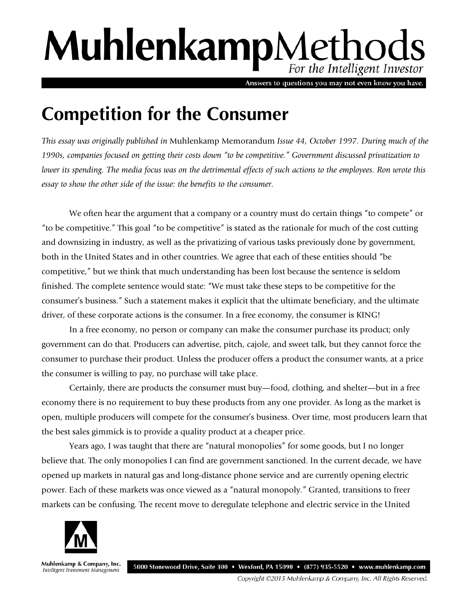## MuhlenkampMethods For the Intelligent Investor

Answers to questions you may not even know you have.

## **Competition for the Consumer**

*This essay was originally published in* Muhlenkamp Memorandum *Issue 44, October 1997. During much of the 1990s, companies focused on getting their costs down "to be competitive." Government discussed privatization to lower its spending. The media focus was on the detrimental effects of such actions to the employees. Ron wrote this essay to show the other side of the issue: the benefits to the consumer.* 

We often hear the argument that a company or a country must do certain things "to compete" or "to be competitive." This goal "to be competitive" is stated as the rationale for much of the cost cutting and downsizing in industry, as well as the privatizing of various tasks previously done by government, both in the United States and in other countries. We agree that each of these entities should "be competitive," but we think that much understanding has been lost because the sentence is seldom finished. The complete sentence would state: "We must take these steps to be competitive for the consumer's business." Such a statement makes it explicit that the ultimate beneficiary, and the ultimate driver, of these corporate actions is the consumer. In a free economy, the consumer is KING!

In a free economy, no person or company can make the consumer purchase its product; only government can do that. Producers can advertise, pitch, cajole, and sweet talk, but they cannot force the consumer to purchase their product. Unless the producer offers a product the consumer wants, at a price the consumer is willing to pay, no purchase will take place.

Certainly, there are products the consumer must buy—food, clothing, and shelter—but in a free economy there is no requirement to buy these products from any one provider. As long as the market is open, multiple producers will compete for the consumer's business. Over time, most producers learn that the best sales gimmick is to provide a quality product at a cheaper price.

Years ago, I was taught that there are "natural monopolies" for some goods, but I no longer believe that. The only monopolies I can find are government sanctioned. In the current decade, we have opened up markets in natural gas and long-distance phone service and are currently opening electric power. Each of these markets was once viewed as a "natural monopoly." Granted, transitions to freer markets can be confusing. The recent move to deregulate telephone and electric service in the United



Muhlenkamp & Company, Inc. Intelligent Investment Management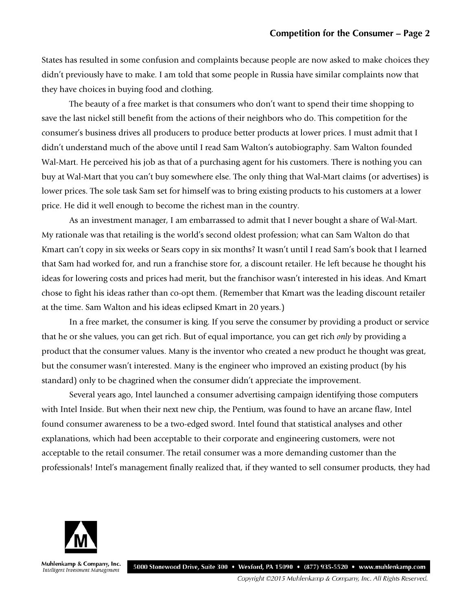States has resulted in some confusion and complaints because people are now asked to make choices they didn't previously have to make. I am told that some people in Russia have similar complaints now that they have choices in buying food and clothing.

The beauty of a free market is that consumers who don't want to spend their time shopping to save the last nickel still benefit from the actions of their neighbors who do. This competition for the consumer's business drives all producers to produce better products at lower prices. I must admit that I didn't understand much of the above until I read Sam Walton's autobiography. Sam Walton founded Wal-Mart. He perceived his job as that of a purchasing agent for his customers. There is nothing you can buy at Wal-Mart that you can't buy somewhere else. The only thing that Wal-Mart claims (or advertises) is lower prices. The sole task Sam set for himself was to bring existing products to his customers at a lower price. He did it well enough to become the richest man in the country.

As an investment manager, I am embarrassed to admit that I never bought a share of Wal-Mart. My rationale was that retailing is the world's second oldest profession; what can Sam Walton do that Kmart can't copy in six weeks or Sears copy in six months? It wasn't until I read Sam's book that I learned that Sam had worked for, and run a franchise store for, a discount retailer. He left because he thought his ideas for lowering costs and prices had merit, but the franchisor wasn't interested in his ideas. And Kmart chose to fight his ideas rather than co-opt them. (Remember that Kmart was the leading discount retailer at the time. Sam Walton and his ideas eclipsed Kmart in 20 years.)

In a free market, the consumer is king. If you serve the consumer by providing a product or service that he or she values, you can get rich. But of equal importance, you can get rich *only* by providing a product that the consumer values. Many is the inventor who created a new product he thought was great, but the consumer wasn't interested. Many is the engineer who improved an existing product (by his standard) only to be chagrined when the consumer didn't appreciate the improvement.

Several years ago, Intel launched a consumer advertising campaign identifying those computers with Intel Inside. But when their next new chip, the Pentium, was found to have an arcane flaw, Intel found consumer awareness to be a two-edged sword. Intel found that statistical analyses and other explanations, which had been acceptable to their corporate and engineering customers, were not acceptable to the retail consumer. The retail consumer was a more demanding customer than the professionals! Intel's management finally realized that, if they wanted to sell consumer products, they had



Muhlenkamp & Company, Inc. Intelligent Investment Management

5000 Stonewood Drive, Suite 300 • Wexford, PA 15090 • (877) 935-5520 • www.muhlenkamp.com

Copyright ©2015 Muhlenkamp & Company, Inc. All Rights Reserved.